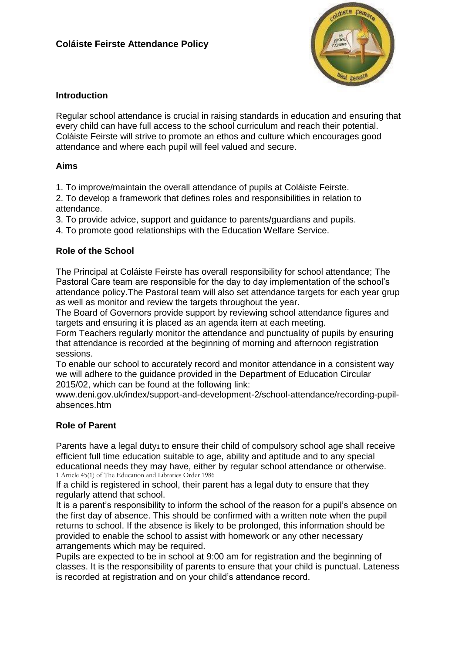

## **Introduction**

Regular school attendance is crucial in raising standards in education and ensuring that every child can have full access to the school curriculum and reach their potential. Coláiste Feirste will strive to promote an ethos and culture which encourages good attendance and where each pupil will feel valued and secure.

## **Aims**

1. To improve/maintain the overall attendance of pupils at Coláiste Feirste.

2. To develop a framework that defines roles and responsibilities in relation to attendance.

3. To provide advice, support and guidance to parents/guardians and pupils.

4. To promote good relationships with the Education Welfare Service.

## **Role of the School**

The Principal at Coláiste Feirste has overall responsibility for school attendance; The Pastoral Care team are responsible for the day to day implementation of the school's attendance policy.The Pastoral team will also set attendance targets for each year grup as well as monitor and review the targets throughout the year.

The Board of Governors provide support by reviewing school attendance figures and targets and ensuring it is placed as an agenda item at each meeting.

Form Teachers regularly monitor the attendance and punctuality of pupils by ensuring that attendance is recorded at the beginning of morning and afternoon registration sessions.

To enable our school to accurately record and monitor attendance in a consistent way we will adhere to the guidance provided in the Department of Education Circular 2015/02, which can be found at the following link:

www.deni.gov.uk/index/support-and-development-2/school-attendance/recording-pupilabsences.htm

# **Role of Parent**

Parents have a legal duty<sub>1</sub> to ensure their child of compulsory school age shall receive efficient full time education suitable to age, ability and aptitude and to any special educational needs they may have, either by regular school attendance or otherwise. 1 Article 45(1) of The Education and Libraries Order 1986

If a child is registered in school, their parent has a legal duty to ensure that they regularly attend that school.

It is a parent's responsibility to inform the school of the reason for a pupil's absence on the first day of absence. This should be confirmed with a written note when the pupil returns to school. If the absence is likely to be prolonged, this information should be provided to enable the school to assist with homework or any other necessary arrangements which may be required.

Pupils are expected to be in school at 9:00 am for registration and the beginning of classes. It is the responsibility of parents to ensure that your child is punctual. Lateness is recorded at registration and on your child's attendance record.